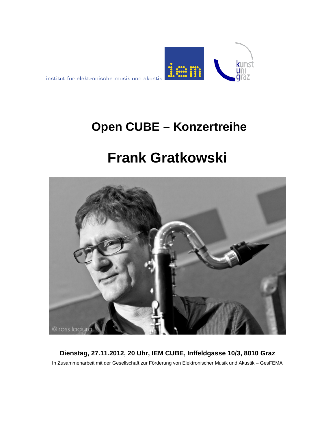

## **Open CUBE – Konzertreihe**

# **Frank Gratkowski**



**Dienstag, 27.11.2012, 20 Uhr, IEM CUBE, Inffeldgasse 10/3, 8010 Graz** In Zusammenarbeit mit der Gesellschaft zur Förderung von Elektronischer Musik und Akustik – GesFEMA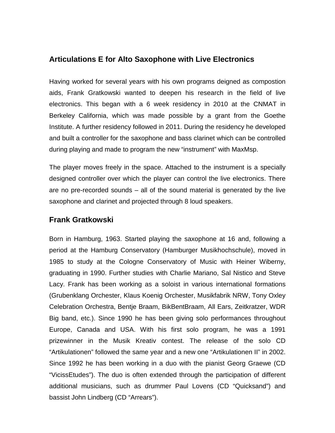#### **Articulations E for Alto Saxophone with Live Electronics**

Having worked for several years with his own programs deigned as compostion aids, Frank Gratkowski wanted to deepen his research in the field of live electronics. This began with a 6 week residency in 2010 at the CNMAT in Berkeley California, which was made possible by a grant from the Goethe Institute. A further residency followed in 2011. During the residency he developed and built a controller for the saxophone and bass clarinet which can be controlled during playing and made to program the new "instrument" with MaxMsp.

The player moves freely in the space. Attached to the instrument is a specially designed controller over which the player can control the live electronics. There are no pre-recorded sounds – all of the sound material is generated by the live saxophone and clarinet and projected through 8 loud speakers.

#### **Frank Gratkowski**

Born in Hamburg, 1963. Started playing the saxophone at 16 and, following a period at the Hamburg Conservatory (Hamburger Musikhochschule), moved in 1985 to study at the Cologne Conservatory of Music with Heiner Wiberny, graduating in 1990. Further studies with Charlie Mariano, Sal Nistico and Steve Lacy. Frank has been working as a soloist in various international formations (Grubenklang Orchester, Klaus Koenig Orchester, Musikfabrik NRW, Tony Oxley Celebration Orchestra, Bentje Braam, BikBentBraam, All Ears, Zeitkratzer, WDR Big band, etc.). Since 1990 he has been giving solo performances throughout Europe, Canada and USA. With his first solo program, he was a 1991 prizewinner in the Musik Kreativ contest. The release of the solo CD "Artikulationen" followed the same year and a new one "Artikulationen II" in 2002. Since 1992 he has been working in a duo with the pianist Georg Graewe (CD "VicissEtudes"). The duo is often extended through the participation of different additional musicians, such as drummer Paul Lovens (CD "Quicksand") and bassist John Lindberg (CD "Arrears").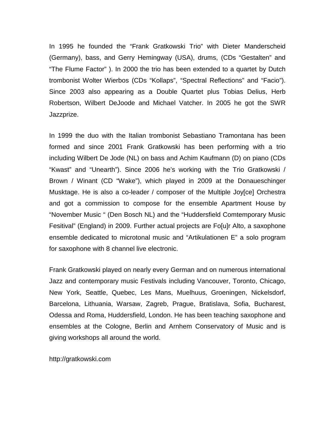In 1995 he founded the "Frank Gratkowski Trio" with Dieter Manderscheid (Germany), bass, and Gerry Hemingway (USA), drums, (CDs "Gestalten" and "The Flume Factor" ). In 2000 the trio has been extended to a quartet by Dutch trombonist Wolter Wierbos (CDs "Kollaps", "Spectral Reflections" and "Facio"). Since 2003 also appearing as a Double Quartet plus Tobias Delius, Herb Robertson, Wilbert DeJoode and Michael Vatcher. In 2005 he got the SWR Jazzprize.

In 1999 the duo with the Italian trombonist Sebastiano Tramontana has been formed and since 2001 Frank Gratkowski has been performing with a trio including Wilbert De Jode (NL) on bass and Achim Kaufmann (D) on piano (CDs "Kwast" and "Unearth"). Since 2006 he's working with the Trio Gratkowski / Brown / Winant (CD "Wake"), which played in 2009 at the Donaueschinger Musktage. He is also a co-leader / composer of the Multiple Joy[ce] Orchestra and got a commission to compose for the ensemble Apartment House by "November Music " (Den Bosch NL) and the "Huddersfield Comtemporary Music Fesitival" (England) in 2009. Further actual projects are Fo[u]r Alto, a saxophone ensemble dedicated to microtonal music and "Artikulationen E" a solo program for saxophone with 8 channel live electronic.

Frank Gratkowski played on nearly every German and on numerous international Jazz and contemporary music Festivals including Vancouver, Toronto, Chicago, New York, Seattle, Quebec, Les Mans, Muelhuus, Groeningen, Nickelsdorf, Barcelona, Lithuania, Warsaw, Zagreb, Prague, Bratislava, Sofia, Bucharest, Odessa and Roma, Huddersfield, London. He has been teaching saxophone and ensembles at the Cologne, Berlin and Arnhem Conservatory of Music and is giving workshops all around the world.

http://gratkowski.com